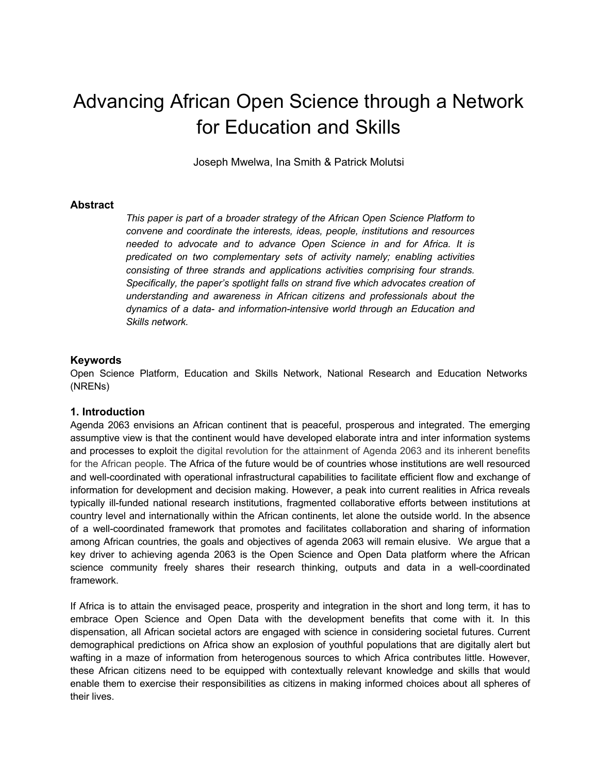# Advancing African Open Science through a Network for Education and Skills

Joseph Mwelwa, Ina Smith & Patrick Molutsi

# **Abstract**

*This paper is part of a broader strategy of the African Open Science Platform to convene and coordinate the interests, ideas, people, institutions and resources needed to advocate and to advance Open Science in and for Africa. It is predicated on two complementary sets of activity namely; enabling activities consisting of three strands and applications activities comprising four strands. Specifically, the paper's spotlight falls on strand five which advocates creation of understanding and awareness in African citizens and professionals about the dynamics of a data- and information-intensive world through an Education and Skills network.*

## **Keywords**

Open Science Platform, Education and Skills Network, National Research and Education Networks (NRENs)

#### **1. Introduction**

Agenda 2063 envisions an African continent that is peaceful, prosperous and integrated. The emerging assumptive view is that the continent would have developed elaborate intra and inter information systems and processes to exploit the digital revolution for the attainment of Agenda 2063 and its inherent benefits for the African people. The Africa of the future would be of countries whose institutions are well resourced and well-coordinated with operational infrastructural capabilities to facilitate efficient flow and exchange of information for development and decision making. However, a peak into current realities in Africa reveals typically ill-funded national research institutions, fragmented collaborative efforts between institutions at country level and internationally within the African continents, let alone the outside world. In the absence of a well-coordinated framework that promotes and facilitates collaboration and sharing of information among African countries, the goals and objectives of agenda 2063 will remain elusive. We argue that a key driver to achieving agenda 2063 is the Open Science and Open Data platform where the African science community freely shares their research thinking, outputs and data in a well-coordinated framework.

If Africa is to attain the envisaged peace, prosperity and integration in the short and long term, it has to embrace Open Science and Open Data with the development benefits that come with it. In this dispensation, all African societal actors are engaged with science in considering societal futures. Current demographical predictions on Africa show an explosion of youthful populations that are digitally alert but wafting in a maze of information from heterogenous sources to which Africa contributes little. However, these African citizens need to be equipped with contextually relevant knowledge and skills that would enable them to exercise their responsibilities as citizens in making informed choices about all spheres of their lives.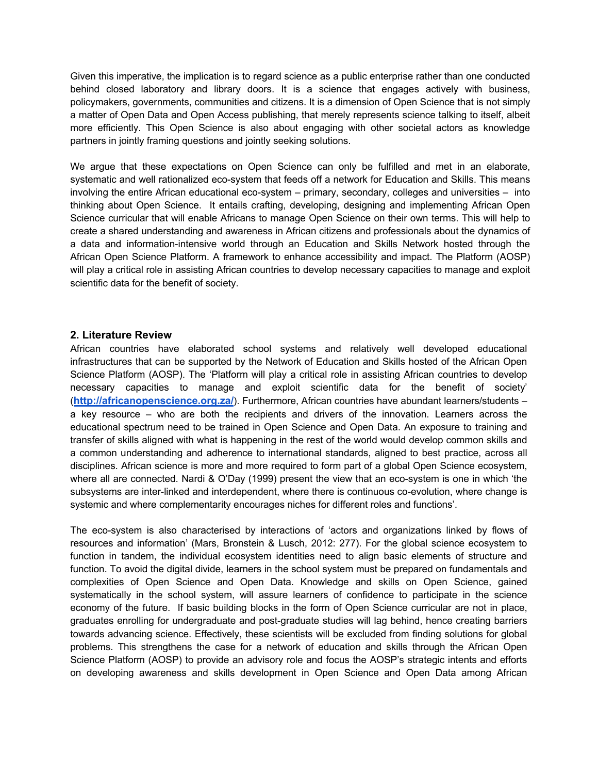Given this imperative, the implication is to regard science as a public enterprise rather than one conducted behind closed laboratory and library doors. It is a science that engages actively with business, policymakers, governments, communities and citizens. It is a dimension of Open Science that is not simply a matter of Open Data and Open Access publishing, that merely represents science talking to itself, albeit more efficiently. This Open Science is also about engaging with other societal actors as knowledge partners in jointly framing questions and jointly seeking solutions.

We argue that these expectations on Open Science can only be fulfilled and met in an elaborate, systematic and well rationalized eco-system that feeds off a network for Education and Skills. This means involving the entire African educational eco-system – primary, secondary, colleges and universities – into thinking about Open Science. It entails crafting, developing, designing and implementing African Open Science curricular that will enable Africans to manage Open Science on their own terms. This will help to create a shared understanding and awareness in African citizens and professionals about the dynamics of a data and information-intensive world through an Education and Skills Network hosted through the African Open Science Platform. A framework to enhance accessibility and impact. The Platform (AOSP) will play a critical role in assisting African countries to develop necessary capacities to manage and exploit scientific data for the benefit of society.

# **2. Literature Review**

African countries have elaborated school systems and relatively well developed educational infrastructures that can be supported by the Network of Education and Skills hosted of the African Open Science Platform (AOSP). The 'Platform will play a critical role in assisting African countries to develop necessary capacities to manage and exploit scientific data for the benefit of society' (**http://africanopenscience.org.za/**). Furthermore, African countries have abundant learners/students – a key resource – who are both the recipients and drivers of the innovation. Learners across the educational spectrum need to be trained in Open Science and Open Data. An exposure to training and transfer of skills aligned with what is happening in the rest of the world would develop common skills and a common understanding and adherence to international standards, aligned to best practice, across all disciplines. African science is more and more required to form part of a global Open Science ecosystem, where all are connected. Nardi & O'Day (1999) present the view that an eco-system is one in which 'the subsystems are inter-linked and interdependent, where there is continuous co-evolution, where change is systemic and where complementarity encourages niches for different roles and functions'.

The eco-system is also characterised by interactions of 'actors and organizations linked by flows of resources and information' (Mars, Bronstein & Lusch, 2012: 277). For the global science ecosystem to function in tandem, the individual ecosystem identities need to align basic elements of structure and function. To avoid the digital divide, learners in the school system must be prepared on fundamentals and complexities of Open Science and Open Data. Knowledge and skills on Open Science, gained systematically in the school system, will assure learners of confidence to participate in the science economy of the future. If basic building blocks in the form of Open Science curricular are not in place, graduates enrolling for undergraduate and post-graduate studies will lag behind, hence creating barriers towards advancing science. Effectively, these scientists will be excluded from finding solutions for global problems. This strengthens the case for a network of education and skills through the African Open Science Platform (AOSP) to provide an advisory role and focus the AOSP's strategic intents and efforts on developing awareness and skills development in Open Science and Open Data among African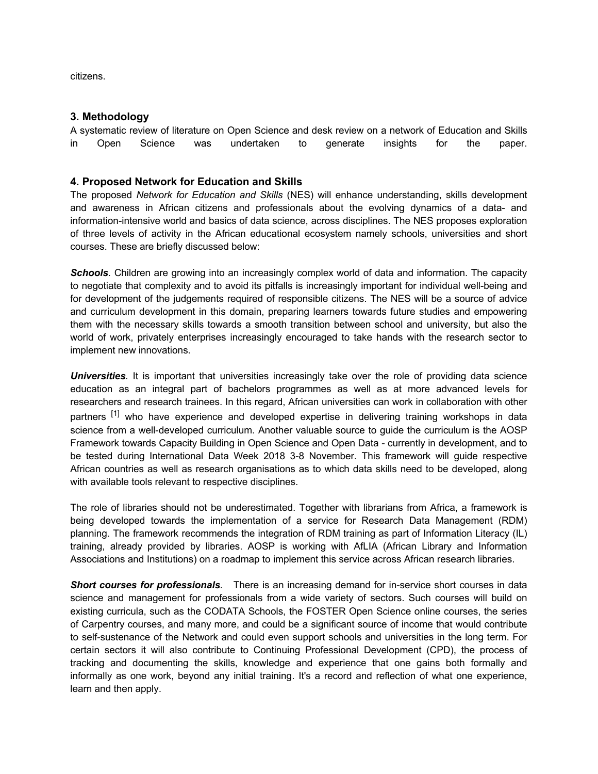citizens.

# **3. Methodology**

A systematic review of literature on Open Science and desk review on a network of Education and Skills in Open Science was undertaken to generate insights for the paper.

# **4. Proposed Network for Education and Skills**

The proposed *Network for Education and Skills* (NES) will enhance understanding, skills development and awareness in African citizens and professionals about the evolving dynamics of a data- and information-intensive world and basics of data science, across disciplines. The NES proposes exploration of three levels of activity in the African educational ecosystem namely schools, universities and short courses. These are briefly discussed below:

**Schools**. Children are growing into an increasingly complex world of data and information. The capacity to negotiate that complexity and to avoid its pitfalls is increasingly important for individual well-being and for development of the judgements required of responsible citizens. The NES will be a source of advice and curriculum development in this domain, preparing learners towards future studies and empowering them with the necessary skills towards a smooth transition between school and university, but also the world of work, privately enterprises increasingly encouraged to take hands with the research sector to implement new innovations.

**Universities**. It is important that universities increasingly take over the role of providing data science education as an integral part of bachelors programmes as well as at more advanced levels for researchers and research trainees. In this regard, African universities can work in collaboration with other partners <sup>[1]</sup> who have experience and developed expertise in delivering training workshops in data science from a well-developed curriculum. Another valuable source to guide the curriculum is the AOSP Framework towards Capacity Building in Open Science and Open Data - currently in development, and to be tested during International Data Week 2018 3-8 November. This framework will guide respective African countries as well as research organisations as to which data skills need to be developed, along with available tools relevant to respective disciplines.

The role of libraries should not be underestimated. Together with librarians from Africa, a framework is being developed towards the implementation of a service for Research Data Management (RDM) planning. The framework recommends the integration of RDM training as part of Information Literacy (IL) training, already provided by libraries. AOSP is working with AfLIA (African Library and Information Associations and Institutions) on a roadmap to implement this service across African research libraries.

*Short courses for professionals.* There is an increasing demand for in-service short courses in data science and management for professionals from a wide variety of sectors. Such courses will build on existing curricula, such as the CODATA Schools, the FOSTER Open Science online courses, the series of Carpentry courses, and many more, and could be a significant source of income that would contribute to self-sustenance of the Network and could even support schools and universities in the long term. For certain sectors it will also contribute to Continuing Professional Development (CPD), the process of tracking and documenting the skills, knowledge and experience that one gains both formally and informally as one work, beyond any initial training. It's a record and reflection of what one experience, learn and then apply.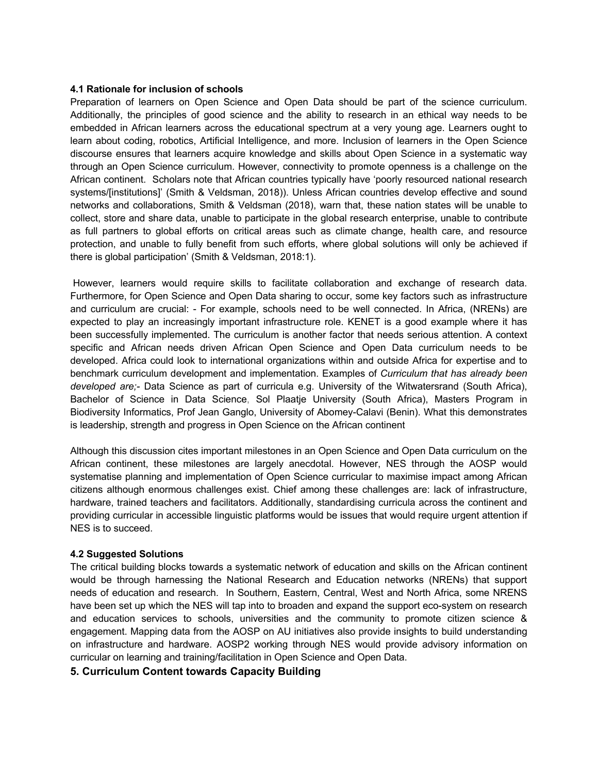#### **4.1 Rationale for inclusion of schools**

Preparation of learners on Open Science and Open Data should be part of the science curriculum. Additionally, the principles of good science and the ability to research in an ethical way needs to be embedded in African learners across the educational spectrum at a very young age. Learners ought to learn about coding, robotics, Artificial Intelligence, and more. Inclusion of learners in the Open Science discourse ensures that learners acquire knowledge and skills about Open Science in a systematic way through an Open Science curriculum. However, connectivity to promote openness is a challenge on the African continent. Scholars note that African countries typically have 'poorly resourced national research systems/[institutions]' (Smith & Veldsman, 2018)). Unless African countries develop effective and sound networks and collaborations, Smith & Veldsman (2018), warn that, these nation states will be unable to collect, store and share data, unable to participate in the global research enterprise, unable to contribute as full partners to global efforts on critical areas such as climate change, health care, and resource protection, and unable to fully benefit from such efforts, where global solutions will only be achieved if there is global participation' (Smith & Veldsman, 2018:1).

However, learners would require skills to facilitate collaboration and exchange of research data. Furthermore, for Open Science and Open Data sharing to occur, some key factors such as infrastructure and curriculum are crucial: - For example, schools need to be well connected. In Africa, (NRENs) are expected to play an increasingly important infrastructure role. KENET is a good example where it has been successfully implemented. The curriculum is another factor that needs serious attention. A context specific and African needs driven African Open Science and Open Data curriculum needs to be developed. Africa could look to international organizations within and outside Africa for expertise and to benchmark curriculum development and implementation. Examples of *Curriculum that has already been developed are;-* Data Science as part of curricula e.g. University of the Witwatersrand (South Africa), Bachelor of Science in Data Science, Sol Plaatje University (South Africa), Masters Program in Biodiversity Informatics, Prof Jean Ganglo, University of Abomey-Calavi (Benin). What this demonstrates is leadership, strength and progress in Open Science on the African continent

Although this discussion cites important milestones in an Open Science and Open Data curriculum on the African continent, these milestones are largely anecdotal. However, NES through the AOSP would systematise planning and implementation of Open Science curricular to maximise impact among African citizens although enormous challenges exist. Chief among these challenges are: lack of infrastructure, hardware, trained teachers and facilitators. Additionally, standardising curricula across the continent and providing curricular in accessible linguistic platforms would be issues that would require urgent attention if NES is to succeed.

#### **4.2 Suggested Solutions**

The critical building blocks towards a systematic network of education and skills on the African continent would be through harnessing the National Research and Education networks (NRENs) that support needs of education and research. In Southern, Eastern, Central, West and North Africa, some NRENS have been set up which the NES will tap into to broaden and expand the support eco-system on research and education services to schools, universities and the community to promote citizen science & engagement. Mapping data from the AOSP on AU initiatives also provide insights to build understanding on infrastructure and hardware. AOSP2 working through NES would provide advisory information on curricular on learning and training/facilitation in Open Science and Open Data.

# **5. Curriculum Content towards Capacity Building**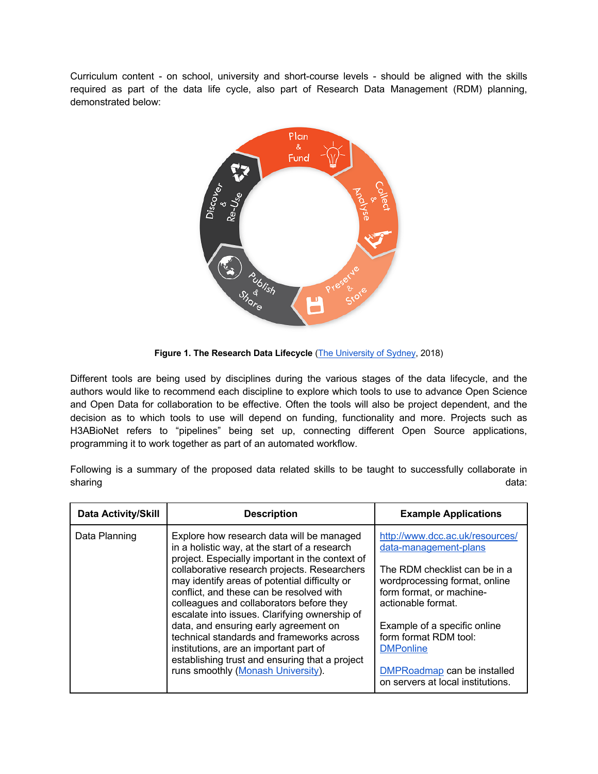Curriculum content - on school, university and short-course levels - should be aligned with the skills required as part of the data life cycle, also part of Research Data Management (RDM) planning, demonstrated below:



**Figure 1. The Research Data Lifecycle** (The University of Sydney, 2018)

Different tools are being used by disciplines during the various stages of the data lifecycle, and the authors would like to recommend each discipline to explore which tools to use to advance Open Science and Open Data for collaboration to be effective. Often the tools will also be project dependent, and the decision as to which tools to use will depend on funding, functionality and more. Projects such as H3ABioNet refers to "pipelines" being set up, connecting different Open Source applications, programming it to work together as part of an automated workflow.

Following is a summary of the proposed data related skills to be taught to successfully collaborate in sharing data:

| <b>Data Activity/Skill</b> | <b>Description</b>                                                                                                                                                                                                                     | <b>Example Applications</b>                                                                                      |
|----------------------------|----------------------------------------------------------------------------------------------------------------------------------------------------------------------------------------------------------------------------------------|------------------------------------------------------------------------------------------------------------------|
| Data Planning              | Explore how research data will be managed<br>in a holistic way, at the start of a research<br>project. Especially important in the context of                                                                                          | http://www.dcc.ac.uk/resources/<br>data-management-plans                                                         |
|                            | collaborative research projects. Researchers<br>may identify areas of potential difficulty or<br>conflict, and these can be resolved with<br>colleagues and collaborators before they<br>escalate into issues. Clarifying ownership of | The RDM checklist can be in a<br>wordprocessing format, online<br>form format, or machine-<br>actionable format. |
|                            | data, and ensuring early agreement on<br>technical standards and frameworks across<br>institutions, are an important part of<br>establishing trust and ensuring that a project<br>runs smoothly (Monash University).                   | Example of a specific online<br>form format RDM tool:<br><b>DMPonline</b>                                        |
|                            |                                                                                                                                                                                                                                        | <b>DMPRoadmap</b> can be installed<br>on servers at local institutions.                                          |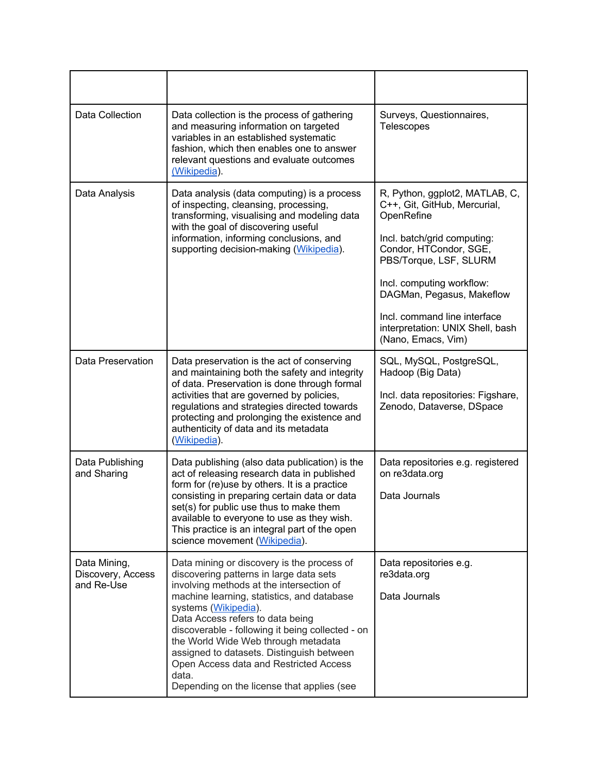| Data Collection                                 | Data collection is the process of gathering<br>and measuring information on targeted<br>variables in an established systematic<br>fashion, which then enables one to answer<br>relevant questions and evaluate outcomes<br>(Wikipedia).                                                                                                                                                                                                                                              | Surveys, Questionnaires,<br><b>Telescopes</b>                                                                                                                                                                                                                                                                       |
|-------------------------------------------------|--------------------------------------------------------------------------------------------------------------------------------------------------------------------------------------------------------------------------------------------------------------------------------------------------------------------------------------------------------------------------------------------------------------------------------------------------------------------------------------|---------------------------------------------------------------------------------------------------------------------------------------------------------------------------------------------------------------------------------------------------------------------------------------------------------------------|
| Data Analysis                                   | Data analysis (data computing) is a process<br>of inspecting, cleansing, processing,<br>transforming, visualising and modeling data<br>with the goal of discovering useful<br>information, informing conclusions, and<br>supporting decision-making (Wikipedia).                                                                                                                                                                                                                     | R, Python, ggplot2, MATLAB, C,<br>C++, Git, GitHub, Mercurial,<br>OpenRefine<br>Incl. batch/grid computing:<br>Condor, HTCondor, SGE,<br>PBS/Torque, LSF, SLURM<br>Incl. computing workflow:<br>DAGMan, Pegasus, Makeflow<br>Incl. command line interface<br>interpretation: UNIX Shell, bash<br>(Nano, Emacs, Vim) |
| Data Preservation                               | Data preservation is the act of conserving<br>and maintaining both the safety and integrity<br>of data. Preservation is done through formal<br>activities that are governed by policies,<br>regulations and strategies directed towards<br>protecting and prolonging the existence and<br>authenticity of data and its metadata<br>(Wikipedia).                                                                                                                                      | SQL, MySQL, PostgreSQL,<br>Hadoop (Big Data)<br>Incl. data repositories: Figshare,<br>Zenodo, Dataverse, DSpace                                                                                                                                                                                                     |
| Data Publishing<br>and Sharing                  | Data publishing (also data publication) is the<br>act of releasing research data in published<br>form for (re)use by others. It is a practice<br>consisting in preparing certain data or data<br>set(s) for public use thus to make them<br>available to everyone to use as they wish.<br>This practice is an integral part of the open<br>science movement (Wikipedia).                                                                                                             | Data repositories e.g. registered<br>on re3data.org<br>Data Journals                                                                                                                                                                                                                                                |
| Data Mining,<br>Discovery, Access<br>and Re-Use | Data mining or discovery is the process of<br>discovering patterns in large data sets<br>involving methods at the intersection of<br>machine learning, statistics, and database<br>systems (Wikipedia).<br>Data Access refers to data being<br>discoverable - following it being collected - on<br>the World Wide Web through metadata<br>assigned to datasets. Distinguish between<br>Open Access data and Restricted Access<br>data.<br>Depending on the license that applies (see | Data repositories e.g.<br>re3data.org<br>Data Journals                                                                                                                                                                                                                                                              |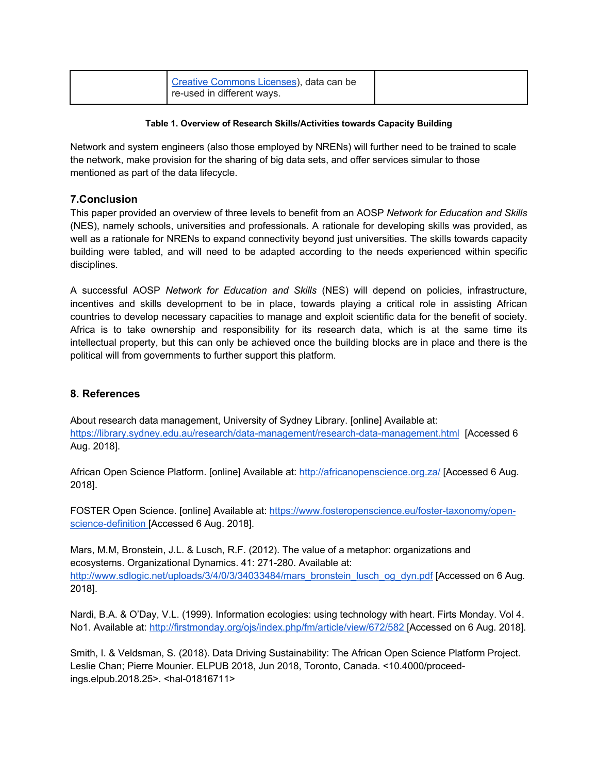| Creative Commons Licenses), data can be<br>re-used in different ways. |  |
|-----------------------------------------------------------------------|--|
|                                                                       |  |

## **Table 1. Overview of Research Skills/Activities towards Capacity Building**

Network and system engineers (also those employed by NRENs) will further need to be trained to scale the network, make provision for the sharing of big data sets, and offer services simular to those mentioned as part of the data lifecycle.

# **7.Conclusion**

This paper provided an overview of three levels to benefit from an AOSP *Network for Education and Skills* (NES), namely schools, universities and professionals. A rationale for developing skills was provided, as well as a rationale for NRENs to expand connectivity beyond just universities. The skills towards capacity building were tabled, and will need to be adapted according to the needs experienced within specific disciplines.

A successful AOSP *Network for Education and Skills* (NES) will depend on policies, infrastructure, incentives and skills development to be in place, towards playing a critical role in assisting African countries to develop necessary capacities to manage and exploit scientific data for the benefit of society. Africa is to take ownership and responsibility for its research data, which is at the same time its intellectual property, but this can only be achieved once the building blocks are in place and there is the political will from governments to further support this platform.

# **8. References**

About research data management, University of Sydney Library. [online] Available at: https://library.sydney.edu.au/research/data-management/research-data-management.html [Accessed 6 Aug. 2018].

African Open Science Platform. [online] Available at: http://africanopenscience.org.za/ [Accessed 6 Aug. 2018].

FOSTER Open Science. [online] Available at: https://www.fosteropenscience.eu/foster-taxonomy/openscience-definition [Accessed 6 Aug. 2018].

Mars, M.M, Bronstein, J.L. & Lusch, R.F. (2012). The value of a metaphor: organizations and ecosystems. Organizational Dynamics. 41: 271-280. Available at: http://www.sdlogic.net/uploads/3/4/0/3/34033484/mars\_bronstein\_lusch\_og\_dyn.pdf [Accessed on 6 Aug. 2018].

Nardi, B.A. & O'Day, V.L. (1999). Information ecologies: using technology with heart. Firts Monday. Vol 4. No1. Available at: http://firstmonday.org/ojs/index.php/fm/article/view/672/582 [Accessed on 6 Aug. 2018].

Smith, I. & Veldsman, S. (2018). Data Driving Sustainability: The African Open Science Platform Project. Leslie Chan; Pierre Mounier. ELPUB 2018, Jun 2018, Toronto, Canada. <10.4000/proceedings.elpub.2018.25>. <hal-01816711>